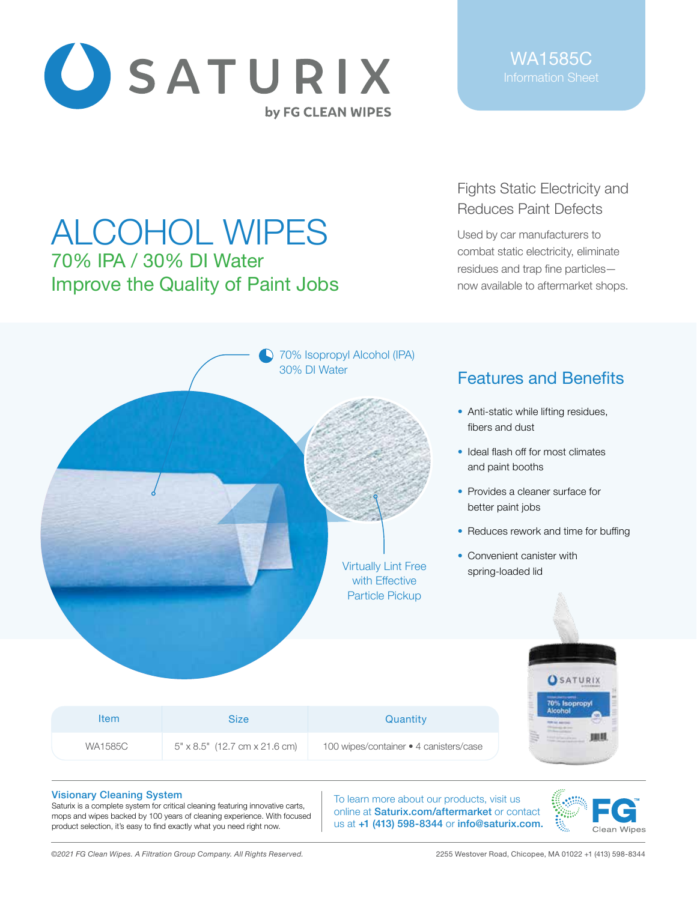

# ALCOHOL WIPES 70% IPA / 30% DI Water Improve the Quality of Paint Jobs

# Fights Static Electricity and Reduces Paint Defects

Used by car manufacturers to combat static electricity, eliminate residues and trap fine particles now available to aftermarket shops.



## Visionary Cleaning System

Saturix is a complete system for critical cleaning featuring innovative carts, mops and wipes backed by 100 years of cleaning experience. With focused product selection, it's easy to find exactly what you need right now.

To learn more about our products, visit us online at Saturix.com/aftermarket or contact us at +1 (413) 598-8344 or info@saturix.com.